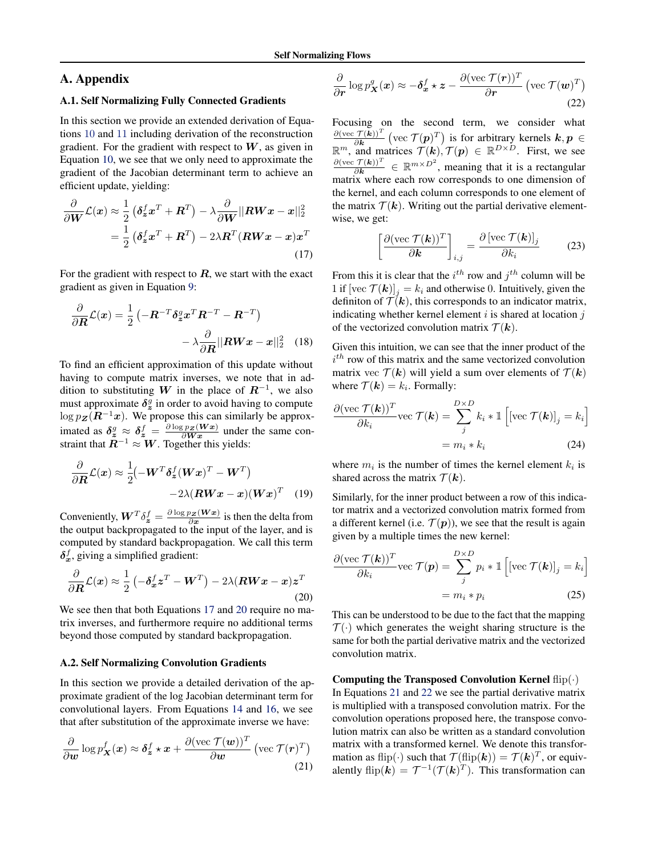# <span id="page-0-0"></span>A. Appendix

## A.1. Self Normalizing Fully Connected Gradients

In this section we provide an extended derivation of Equations [10](#page--1-0) and [11](#page--1-0) including derivation of the reconstruction gradient. For the gradient with respect to  $W$ , as given in Equation [10,](#page--1-0) we see that we only need to approximate the gradient of the Jacobian determinant term to achieve an efficient update, yielding:

$$
\frac{\partial}{\partial \boldsymbol{W}} \mathcal{L}(\boldsymbol{x}) \approx \frac{1}{2} \left( \delta_{\boldsymbol{z}}^f \boldsymbol{x}^T + \boldsymbol{R}^T \right) - \lambda \frac{\partial}{\partial \boldsymbol{W}} || \boldsymbol{R} \boldsymbol{W} \boldsymbol{x} - \boldsymbol{x} ||_2^2
$$

$$
= \frac{1}{2} \left( \delta_{\boldsymbol{z}}^f \boldsymbol{x}^T + \boldsymbol{R}^T \right) - 2\lambda \boldsymbol{R}^T (\boldsymbol{R} \boldsymbol{W} \boldsymbol{x} - \boldsymbol{x}) \boldsymbol{x}^T
$$
(17)

For the gradient with respect to  $R$ , we start with the exact gradient as given in Equation [9:](#page--1-0)

$$
\frac{\partial}{\partial \mathbf{R}} \mathcal{L}(\mathbf{x}) = \frac{1}{2} \left( -\mathbf{R}^{-T} \delta_{\mathbf{z}}^g \mathbf{x}^T \mathbf{R}^{-T} - \mathbf{R}^{-T} \right) \n- \lambda \frac{\partial}{\partial \mathbf{R}} ||\mathbf{R} \mathbf{W} \mathbf{x} - \mathbf{x}||_2^2
$$
 (18)

To find an efficient approximation of this update without having to compute matrix inverses, we note that in addition to substituting W in the place of  $R^{-1}$ , we also must approximate  $\delta_z^g$  in order to avoid having to compute  $\log p_{\mathbf{Z}}(\mathbf{R}^{-1}\mathbf{x})$ . We propose this can similarly be approximated as  $\delta_z^g \approx \delta_z^f = \frac{\partial \log p_Z(Wx)}{\partial Wx}$  under the same constraint that  $\mathbb{R}^{-1} \approx W$ . Together this yields:

$$
\frac{\partial}{\partial \mathbf{R}} \mathcal{L}(\mathbf{x}) \approx \frac{1}{2} \left( -\mathbf{W}^T \delta_{\mathbf{z}}^f (\mathbf{W} \mathbf{x})^T - \mathbf{W}^T \right) -2\lambda (\mathbf{R} \mathbf{W} \mathbf{x} - \mathbf{x}) (\mathbf{W} \mathbf{x})^T
$$
 (19)

Conveniently,  $\boldsymbol{W}^T \delta_{\boldsymbol{z}}^f = \frac{\partial \log p_{\boldsymbol{z}}(\boldsymbol{W}\boldsymbol{x})}{\partial \boldsymbol{x}}$  is then the delta from the output backpropagated to the input of the layer, and is computed by standard backpropagation. We call this term  $\delta_x^f$ , giving a simplified gradient:

$$
\frac{\partial}{\partial \boldsymbol{R}} \mathcal{L}(\boldsymbol{x}) \approx \frac{1}{2} \left( -\delta_{\boldsymbol{x}}^f \boldsymbol{z}^T - \boldsymbol{W}^T \right) - 2\lambda (\boldsymbol{R} \boldsymbol{W} \boldsymbol{x} - \boldsymbol{x}) \boldsymbol{z}^T \tag{20}
$$

We see then that both Equations 17 and 20 require no matrix inverses, and furthermore require no additional terms beyond those computed by standard backpropagation.

## A.2. Self Normalizing Convolution Gradients

In this section we provide a detailed derivation of the approximate gradient of the log Jacobian determinant term for convolutional layers. From Equations [14](#page--1-0) and [16,](#page--1-0) we see that after substitution of the approximate inverse we have:

$$
\frac{\partial}{\partial w} \log p_X^f(x) \approx \delta_z^f \star x + \frac{\partial (\text{vec } \mathcal{T}(w))^T}{\partial w} (\text{vec } \mathcal{T}(r)^T)
$$
\n(21)

$$
\frac{\partial}{\partial r} \log p_{\mathbf{X}}^g(x) \approx -\delta_x^f \star z - \frac{\partial (\text{vec } \mathcal{T}(r))^T}{\partial r} (\text{vec } \mathcal{T}(\mathbf{w})^T)
$$
\n(22)

Focusing on the second term, we consider what  $\partial(\text{vec } \mathcal{T}(\boldsymbol{k}))^T$  $\frac{\mathcal{T}(\mathbf{k})^T}{\partial \mathbf{k}}$  (vec  $\mathcal{T}(\mathbf{p})^T$ ) is for arbitrary kernels  $\mathbf{k}, \mathbf{p} \in$  $\mathbb{R}^m$ , and matrices  $\mathcal{T}(\mathbf{k})$ ,  $\mathcal{T}(\mathbf{p}) \in \mathbb{R}^{D \times D}$ . First, we see  $\partial(\text{vec } \mathcal{T}(\boldsymbol{k}))^T$  $\frac{\mathcal{T}(k))^T}{\partial k} \in \mathbb{R}^{m \times D^2}$ , meaning that it is a rectangular matrix where each row corresponds to one dimension of the kernel, and each column corresponds to one element of the matrix  $\mathcal{T}(\mathbf{k})$ . Writing out the partial derivative elementwise, we get:

$$
\left[\frac{\partial(\text{vec } \mathcal{T}(\mathbf{k}))^T}{\partial \mathbf{k}}\right]_{i,j} = \frac{\partial \left[\text{vec } \mathcal{T}(\mathbf{k})\right]_j}{\partial k_i} \tag{23}
$$

From this it is clear that the  $i^{th}$  row and  $j^{th}$  column will be 1 if  $[vec(\mathcal{T}(k)]_i = k_i$  and otherwise 0. Intuitively, given the definiton of  $\mathcal{T}(\mathbf{k})$ , this corresponds to an indicator matrix, indicating whether kernel element  $i$  is shared at location  $j$ of the vectorized convolution matrix  $\mathcal{T}(\mathbf{k})$ .

Given this intuition, we can see that the inner product of the  $i<sup>th</sup>$  row of this matrix and the same vectorized convolution matrix vec  $T(\mathbf{k})$  will yield a sum over elements of  $T(\mathbf{k})$ where  $\mathcal{T}(\mathbf{k}) = k_i$ . Formally:

$$
\frac{\partial(\text{vec } \mathcal{T}(\mathbf{k}))^T}{\partial k_i} \text{vec } \mathcal{T}(\mathbf{k}) = \sum_{j}^{D \times D} k_i * \mathbb{1} \left[ [\text{vec } \mathcal{T}(\mathbf{k})]_j = k_i \right]
$$

$$
= m_i * k_i \tag{24}
$$

where  $m_i$  is the number of times the kernel element  $k_i$  is shared across the matrix  $\mathcal{T}(\mathbf{k})$ .

Similarly, for the inner product between a row of this indicator matrix and a vectorized convolution matrix formed from a different kernel (i.e.  $\mathcal{T}(p)$ ), we see that the result is again given by a multiple times the new kernel:

$$
\frac{\partial (\text{vec } \mathcal{T}(\mathbf{k}))^T}{\partial k_i} \text{vec } \mathcal{T}(\mathbf{p}) = \sum_j^{D \times D} p_i * \mathbb{1} \left[ [\text{vec } \mathcal{T}(\mathbf{k})]_j = k_i \right]
$$

$$
= m_i * p_i \tag{25}
$$

This can be understood to be due to the fact that the mapping  $\mathcal{T}(\cdot)$  which generates the weight sharing structure is the same for both the partial derivative matrix and the vectorized convolution matrix.

Computing the Transposed Convolution Kernel  $f{f{f}}(.)$ In Equations 21 and 22 we see the partial derivative matrix is multiplied with a transposed convolution matrix. For the convolution operations proposed here, the transpose convolution matrix can also be written as a standard convolution matrix with a transformed kernel. We denote this transformation as flip( $\cdot$ ) such that  $\mathcal{T}(\text{flip}(\mathbf{k})) = \mathcal{T}(\mathbf{k})^T$ , or equivalently  $\text{flip}(\mathbf{k}) = \mathcal{T}^{-1}(\mathcal{T}(\mathbf{k})^T)$ . This transformation can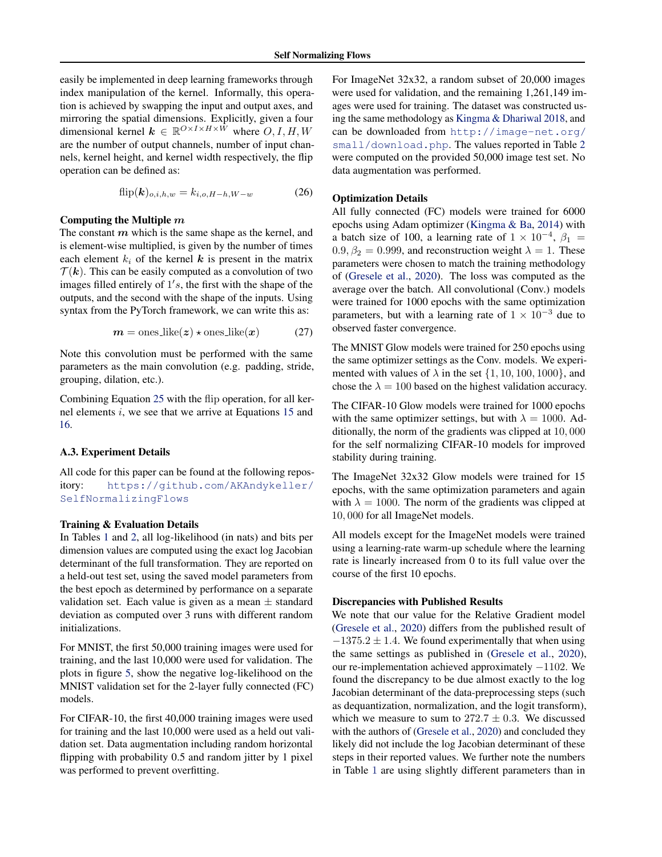easily be implemented in deep learning frameworks through index manipulation of the kernel. Informally, this operation is achieved by swapping the input and output axes, and mirroring the spatial dimensions. Explicitly, given a four dimensional kernel  $\mathbf{k} \in \mathbb{R}^{O \times I \times H \times \bar{W}}$  where  $O, I, H, W$ are the number of output channels, number of input channels, kernel height, and kernel width respectively, the flip operation can be defined as:

$$
flip(k)_{o,i,h,w} = k_{i,o,H-h,W-w}
$$
 (26)

### Computing the Multiple m

The constant  $m$  which is the same shape as the kernel, and is element-wise multiplied, is given by the number of times each element  $k_i$  of the kernel k is present in the matrix  $\mathcal{T}(\mathbf{k})$ . This can be easily computed as a convolution of two images filled entirely of  $1's$ , the first with the shape of the outputs, and the second with the shape of the inputs. Using syntax from the PyTorch framework, we can write this as:

$$
m = \text{ones\_like}(z) \star \text{ones\_like}(x) \tag{27}
$$

Note this convolution must be performed with the same parameters as the main convolution (e.g. padding, stride, grouping, dilation, etc.).

Combining Equation [25](#page-0-0) with the flip operation, for all kernel elements i, we see that we arrive at Equations [15](#page--1-0) and [16.](#page--1-0)

### A.3. Experiment Details

All code for this paper can be found at the following repository: [https://github.com/AKAndykeller/](https://github.com/AKAndykeller/SelfNormalizingFlows) [SelfNormalizingFlows](https://github.com/AKAndykeller/SelfNormalizingFlows)

## Training & Evaluation Details

In Tables [1](#page--1-0) and [2,](#page--1-0) all log-likelihood (in nats) and bits per dimension values are computed using the exact log Jacobian determinant of the full transformation. They are reported on a held-out test set, using the saved model parameters from the best epoch as determined by performance on a separate validation set. Each value is given as a mean  $\pm$  standard deviation as computed over 3 runs with different random initializations.

For MNIST, the first 50,000 training images were used for training, and the last 10,000 were used for validation. The plots in figure [5,](#page--1-0) show the negative log-likelihood on the MNIST validation set for the 2-layer fully connected (FC) models.

For CIFAR-10, the first 40,000 training images were used for training and the last 10,000 were used as a held out validation set. Data augmentation including random horizontal flipping with probability 0.5 and random jitter by 1 pixel was performed to prevent overfitting.

For ImageNet 32x32, a random subset of 20,000 images were used for validation, and the remaining 1,261,149 images were used for training. The dataset was constructed using the same methodology as [Kingma & Dhariwal](#page--1-0) [2018,](#page--1-0) and can be downloaded from [http://image-net.org/](http://image-net.org/small/download.php) [small/download.php](http://image-net.org/small/download.php). The values reported in Table [2](#page--1-0) were computed on the provided 50,000 image test set. No data augmentation was performed.

#### Optimization Details

All fully connected (FC) models were trained for 6000 epochs using Adam optimizer [\(Kingma & Ba,](#page--1-0) [2014\)](#page--1-0) with a batch size of 100, a learning rate of  $1 \times 10^{-4}$ ,  $\beta_1 =$  $0.9, \beta_2 = 0.999$ , and reconstruction weight  $\lambda = 1$ . These parameters were chosen to match the training methodology of [\(Gresele et al.,](#page--1-0) [2020\)](#page--1-0). The loss was computed as the average over the batch. All convolutional (Conv.) models were trained for 1000 epochs with the same optimization parameters, but with a learning rate of  $1 \times 10^{-3}$  due to observed faster convergence.

The MNIST Glow models were trained for 250 epochs using the same optimizer settings as the Conv. models. We experimented with values of  $\lambda$  in the set  $\{1, 10, 100, 1000\}$ , and chose the  $\lambda = 100$  based on the highest validation accuracy.

The CIFAR-10 Glow models were trained for 1000 epochs with the same optimizer settings, but with  $\lambda = 1000$ . Additionally, the norm of the gradients was clipped at 10, 000 for the self normalizing CIFAR-10 models for improved stability during training.

The ImageNet 32x32 Glow models were trained for 15 epochs, with the same optimization parameters and again with  $\lambda = 1000$ . The norm of the gradients was clipped at 10, 000 for all ImageNet models.

All models except for the ImageNet models were trained using a learning-rate warm-up schedule where the learning rate is linearly increased from 0 to its full value over the course of the first 10 epochs.

#### Discrepancies with Published Results

We note that our value for the Relative Gradient model [\(Gresele et al.,](#page--1-0) [2020\)](#page--1-0) differs from the published result of  $-1375.2 \pm 1.4$ . We found experimentally that when using the same settings as published in [\(Gresele et al.,](#page--1-0) [2020\)](#page--1-0), our re-implementation achieved approximately −1102. We found the discrepancy to be due almost exactly to the log Jacobian determinant of the data-preprocessing steps (such as dequantization, normalization, and the logit transform), which we measure to sum to  $272.7 \pm 0.3$ . We discussed with the authors of [\(Gresele et al.,](#page--1-0) [2020\)](#page--1-0) and concluded they likely did not include the log Jacobian determinant of these steps in their reported values. We further note the numbers in Table [1](#page--1-0) are using slightly different parameters than in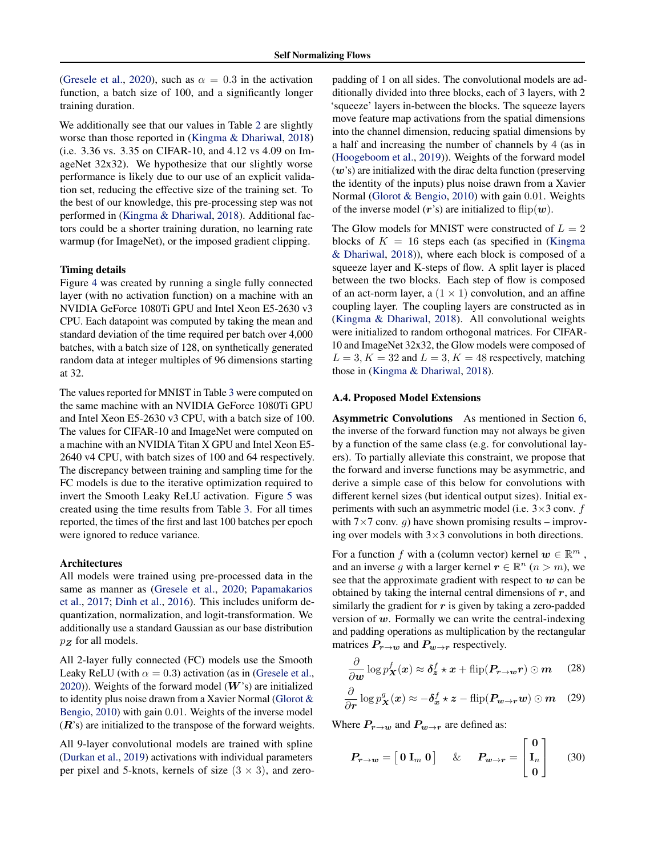[\(Gresele et al.,](#page--1-0) [2020\)](#page--1-0), such as  $\alpha = 0.3$  in the activation function, a batch size of 100, and a significantly longer training duration.

We additionally see that our values in Table [2](#page--1-0) are slightly worse than those reported in [\(Kingma & Dhariwal,](#page--1-0) [2018\)](#page--1-0) (i.e. 3.36 vs. 3.35 on CIFAR-10, and 4.12 vs 4.09 on ImageNet 32x32). We hypothesize that our slightly worse performance is likely due to our use of an explicit validation set, reducing the effective size of the training set. To the best of our knowledge, this pre-processing step was not performed in [\(Kingma & Dhariwal,](#page--1-0) [2018\)](#page--1-0). Additional factors could be a shorter training duration, no learning rate warmup (for ImageNet), or the imposed gradient clipping.

#### Timing details

Figure [4](#page--1-0) was created by running a single fully connected layer (with no activation function) on a machine with an NVIDIA GeForce 1080Ti GPU and Intel Xeon E5-2630 v3 CPU. Each datapoint was computed by taking the mean and standard deviation of the time required per batch over 4,000 batches, with a batch size of 128, on synthetically generated random data at integer multiples of 96 dimensions starting at 32.

The values reported for MNIST in Table [3](#page--1-0) were computed on the same machine with an NVIDIA GeForce 1080Ti GPU and Intel Xeon E5-2630 v3 CPU, with a batch size of 100. The values for CIFAR-10 and ImageNet were computed on a machine with an NVIDIA Titan X GPU and Intel Xeon E5- 2640 v4 CPU, with batch sizes of 100 and 64 respectively. The discrepancy between training and sampling time for the FC models is due to the iterative optimization required to invert the Smooth Leaky ReLU activation. Figure [5](#page--1-0) was created using the time results from Table [3.](#page--1-0) For all times reported, the times of the first and last 100 batches per epoch were ignored to reduce variance.

### Architectures

All models were trained using pre-processed data in the same as manner as [\(Gresele et al.,](#page--1-0) [2020;](#page--1-0) [Papamakarios](#page--1-0) [et al.,](#page--1-0) [2017;](#page--1-0) [Dinh et al.,](#page--1-0) [2016\)](#page--1-0). This includes uniform dequantization, normalization, and logit-transformation. We additionally use a standard Gaussian as our base distribution  $p_{Z}$  for all models.

All 2-layer fully connected (FC) models use the Smooth Leaky ReLU (with  $\alpha = 0.3$ ) activation (as in [\(Gresele et al.,](#page--1-0) [2020\)](#page--1-0)). Weights of the forward model  $(W's)$  are initialized to identity plus noise drawn from a Xavier Normal [\(Glorot &](#page--1-0) [Bengio,](#page--1-0) [2010\)](#page--1-0) with gain 0.01. Weights of the inverse model  $(R's)$  are initialized to the transpose of the forward weights.

All 9-layer convolutional models are trained with spline [\(Durkan et al.,](#page--1-0) [2019\)](#page--1-0) activations with individual parameters per pixel and 5-knots, kernels of size  $(3 \times 3)$ , and zeropadding of 1 on all sides. The convolutional models are additionally divided into three blocks, each of 3 layers, with 2 'squeeze' layers in-between the blocks. The squeeze layers move feature map activations from the spatial dimensions into the channel dimension, reducing spatial dimensions by a half and increasing the number of channels by 4 (as in [\(Hoogeboom et al.,](#page--1-0) [2019\)](#page--1-0)). Weights of the forward model  $(w's)$  are initialized with the dirac delta function (preserving the identity of the inputs) plus noise drawn from a Xavier Normal [\(Glorot & Bengio,](#page--1-0) [2010\)](#page--1-0) with gain 0.01. Weights of the inverse model  $(r's)$  are initialized to flip $(w)$ .

The Glow models for MNIST were constructed of  $L = 2$ blocks of  $K = 16$  steps each (as specified in [\(Kingma](#page--1-0)) [& Dhariwal,](#page--1-0) [2018\)](#page--1-0)), where each block is composed of a squeeze layer and K-steps of flow. A split layer is placed between the two blocks. Each step of flow is composed of an act-norm layer, a  $(1 \times 1)$  convolution, and an affine coupling layer. The coupling layers are constructed as in [\(Kingma & Dhariwal,](#page--1-0) [2018\)](#page--1-0). All convolutional weights were initialized to random orthogonal matrices. For CIFAR-10 and ImageNet 32x32, the Glow models were composed of  $L = 3, K = 32$  and  $L = 3, K = 48$  respectively, matching those in [\(Kingma & Dhariwal,](#page--1-0) [2018\)](#page--1-0).

### A.4. Proposed Model Extensions

Asymmetric Convolutions As mentioned in Section [6,](#page--1-0) the inverse of the forward function may not always be given by a function of the same class (e.g. for convolutional layers). To partially alleviate this constraint, we propose that the forward and inverse functions may be asymmetric, and derive a simple case of this below for convolutions with different kernel sizes (but identical output sizes). Initial experiments with such an asymmetric model (i.e.  $3 \times 3$  conv. f with  $7\times7$  conv. q) have shown promising results – improving over models with  $3\times3$  convolutions in both directions.

For a function f with a (column vector) kernel  $w \in \mathbb{R}^m$ , and an inverse g with a larger kernel  $r \in \mathbb{R}^n$   $(n > m)$ , we see that the approximate gradient with respect to  $w$  can be obtained by taking the internal central dimensions of  $r$ , and similarly the gradient for  $r$  is given by taking a zero-padded version of  $w$ . Formally we can write the central-indexing and padding operations as multiplication by the rectangular matrices  $P_{r\to w}$  and  $P_{w\to r}$  respectively.

$$
\frac{\partial}{\partial w} \log p_X^f(x) \approx \delta_z^f \star x + \text{flip}(\boldsymbol{P_{r \to w}r}) \odot \boldsymbol{m} \quad (28)
$$

$$
\frac{\partial}{\partial r}\log p_{\boldsymbol{X}}^g(\boldsymbol{x}) \approx -\boldsymbol{\delta}_x^f \star \boldsymbol{z} - \text{flip}(\boldsymbol{P}_{\boldsymbol{w}\to\boldsymbol{r}}\boldsymbol{w}) \odot \boldsymbol{m} \quad (29)
$$

Where  $P_{r\to w}$  and  $P_{w\to r}$  are defined as:

$$
P_{r\to w} = \begin{bmatrix} 0 \mathbf{I}_m \, 0 \end{bmatrix} \quad \& \quad P_{w\to r} = \begin{bmatrix} 0 \\ \mathbf{I}_n \\ 0 \end{bmatrix} \tag{30}
$$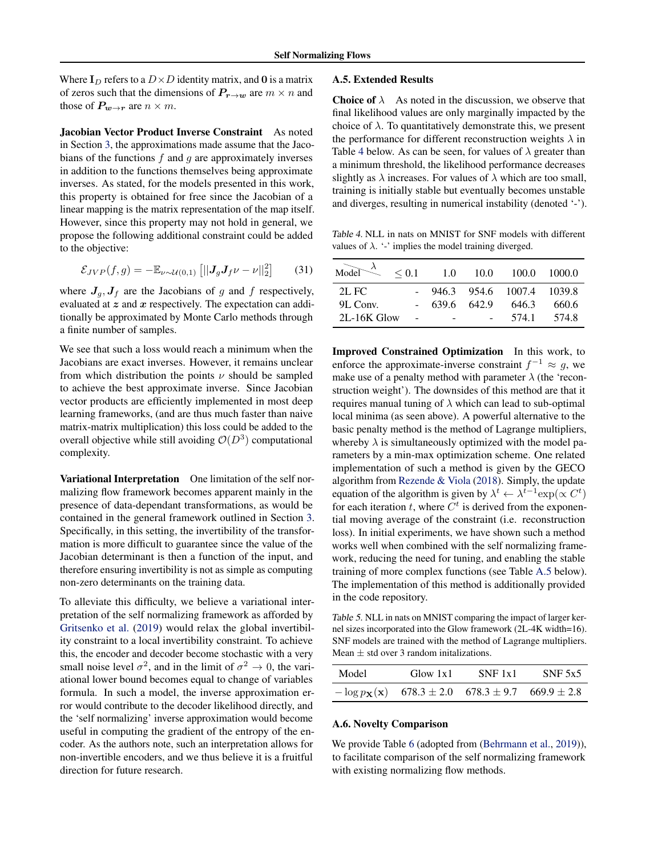Where  $I_D$  refers to a  $D \times D$  identity matrix, and 0 is a matrix of zeros such that the dimensions of  $P_{r\to w}$  are  $m \times n$  and those of  $P_{w\to r}$  are  $n \times m$ .

Jacobian Vector Product Inverse Constraint As noted in Section [3,](#page--1-0) the approximations made assume that the Jacobians of the functions  $f$  and  $g$  are approximately inverses in addition to the functions themselves being approximate inverses. As stated, for the models presented in this work, this property is obtained for free since the Jacobian of a linear mapping is the matrix representation of the map itself. However, since this property may not hold in general, we propose the following additional constraint could be added to the objective:

$$
\mathcal{E}_{JVP}(f,g) = -\mathbb{E}_{\nu \sim \mathcal{U}(0,1)} \left[ \left| \left| \mathbf{J}_g \mathbf{J}_f \nu - \nu \right| \right|_2^2 \right] \tag{31}
$$

where  $J_q$ ,  $J_f$  are the Jacobians of g and f respectively, evaluated at  $z$  and  $x$  respectively. The expectation can additionally be approximated by Monte Carlo methods through a finite number of samples.

We see that such a loss would reach a minimum when the Jacobians are exact inverses. However, it remains unclear from which distribution the points  $\nu$  should be sampled to achieve the best approximate inverse. Since Jacobian vector products are efficiently implemented in most deep learning frameworks, (and are thus much faster than naive matrix-matrix multiplication) this loss could be added to the overall objective while still avoiding  $\mathcal{O}(D^3)$  computational complexity.

Variational Interpretation One limitation of the self normalizing flow framework becomes apparent mainly in the presence of data-dependant transformations, as would be contained in the general framework outlined in Section [3.](#page--1-0) Specifically, in this setting, the invertibility of the transformation is more difficult to guarantee since the value of the Jacobian determinant is then a function of the input, and therefore ensuring invertibility is not as simple as computing non-zero determinants on the training data.

To alleviate this difficulty, we believe a variational interpretation of the self normalizing framework as afforded by [Gritsenko et al.](#page--1-0) [\(2019\)](#page--1-0) would relax the global invertibility constraint to a local invertibility constraint. To achieve this, the encoder and decoder become stochastic with a very small noise level  $\sigma^2$ , and in the limit of  $\sigma^2 \to 0$ , the variational lower bound becomes equal to change of variables formula. In such a model, the inverse approximation error would contribute to the decoder likelihood directly, and the 'self normalizing' inverse approximation would become useful in computing the gradient of the entropy of the encoder. As the authors note, such an interpretation allows for non-invertible encoders, and we thus believe it is a fruitful direction for future research.

### A.5. Extended Results

**Choice of**  $\lambda$  As noted in the discussion, we observe that final likelihood values are only marginally impacted by the choice of  $\lambda$ . To quantitatively demonstrate this, we present the performance for different reconstruction weights  $\lambda$  in Table 4 below. As can be seen, for values of  $\lambda$  greater than a minimum threshold, the likelihood performance decreases slightly as  $\lambda$  increases. For values of  $\lambda$  which are too small, training is initially stable but eventually becomes unstable and diverges, resulting in numerical instability (denoted '-').

Table 4. NLL in nats on MNIST for SNF models with different values of  $\lambda$ . '-' implies the model training diverged.

| Model $\lambda$ | $\leq 0.1$ 1.0 10.0 |                              | 100.0 1000.0 |
|-----------------|---------------------|------------------------------|--------------|
| $2L$ FC         |                     | $-946.3$ 954.6 1007.4 1039.8 |              |
| 9L Conv.        | 639.6 642.9         | 646.3                        | 660.6        |
| 2L-16K Glow     |                     | 574.1                        | 5748         |

Improved Constrained Optimization In this work, to enforce the approximate-inverse constraint  $f^{-1} \approx g$ , we make use of a penalty method with parameter  $\lambda$  (the 'reconstruction weight'). The downsides of this method are that it requires manual tuning of  $\lambda$  which can lead to sub-optimal local minima (as seen above). A powerful alternative to the basic penalty method is the method of Lagrange multipliers, whereby  $\lambda$  is simultaneously optimized with the model parameters by a min-max optimization scheme. One related implementation of such a method is given by the GECO algorithm from [Rezende & Viola](#page--1-0) [\(2018\)](#page--1-0). Simply, the update equation of the algorithm is given by  $\lambda^t \leftarrow \lambda^{t-1} \exp(\propto C^t)$ for each iteration t, where  $C<sup>t</sup>$  is derived from the exponential moving average of the constraint (i.e. reconstruction loss). In initial experiments, we have shown such a method works well when combined with the self normalizing framework, reducing the need for tuning, and enabling the stable training of more complex functions (see Table A.5 below). The implementation of this method is additionally provided in the code repository.

Table 5. NLL in nats on MNIST comparing the impact of larger kernel sizes incorporated into the Glow framework (2L-4K width=16). SNF models are trained with the method of Lagrange multipliers. Mean  $\pm$  std over 3 random initalizations.

| Model | Glow 1x1 | $SNF$ 1x1                                                              | $SNF$ 5x5 |
|-------|----------|------------------------------------------------------------------------|-----------|
|       |          | $-\log p_{\mathbf{X}}(\mathbf{x})$ 678.3 ± 2.0 678.3 ± 9.7 669.9 ± 2.8 |           |

### A.6. Novelty Comparison

We provide Table [6](#page-4-0) (adopted from [\(Behrmann et al.,](#page--1-0) [2019\)](#page--1-0)), to facilitate comparison of the self normalizing framework with existing normalizing flow methods.